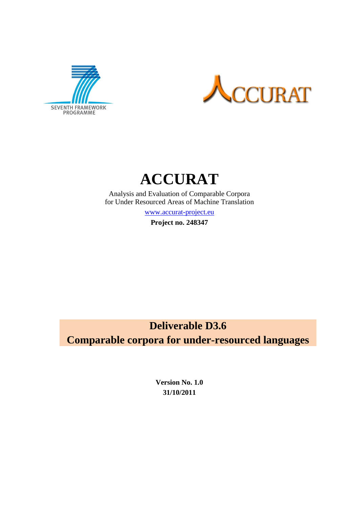





Analysis and Evaluation of Comparable Corpora for Under Resourced Areas of Machine Translation

[www.accurat-project.eu](http://www.accurat-project.eu/)

**Project no. 248347**

# **Deliverable D3.6 Comparable corpora for under-resourced languages**

**Version No. 1.0 31/10/2011**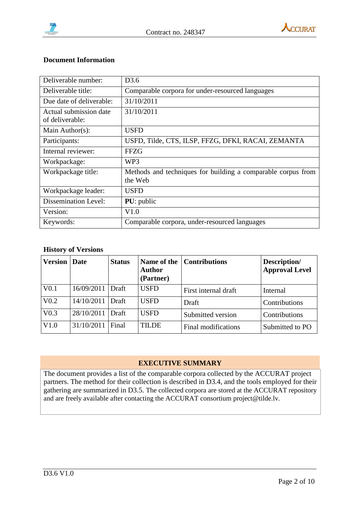



#### **Document Information**

| Deliverable number:                       | D <sub>3.6</sub>                                                        |
|-------------------------------------------|-------------------------------------------------------------------------|
| Deliverable title:                        | Comparable corpora for under-resourced languages                        |
| Due date of deliverable:                  | 31/10/2011                                                              |
| Actual submission date<br>of deliverable: | 31/10/2011                                                              |
| Main Author(s):                           | <b>USFD</b>                                                             |
| Participants:                             | USFD, Tilde, CTS, ILSP, FFZG, DFKI, RACAI, ZEMANTA                      |
| Internal reviewer:                        | <b>FFZG</b>                                                             |
| Workpackage:                              | WP3                                                                     |
| Workpackage title:                        | Methods and techniques for building a comparable corpus from<br>the Web |
| Workpackage leader:                       | <b>USFD</b>                                                             |
| <b>Dissemination Level:</b>               | <b>PU</b> : public                                                      |
| Version:                                  | V1.0                                                                    |
| Keywords:                                 | Comparable corpora, under-resourced languages                           |

#### **History of Versions**

| <b>Version</b>   | <b>Date</b> | <b>Status</b> | <b>Author</b><br>(Partner) | Name of the Contributions | Description/<br><b>Approval Level</b> |
|------------------|-------------|---------------|----------------------------|---------------------------|---------------------------------------|
| V <sub>0.1</sub> | 16/09/2011  | Draft         | <b>USFD</b>                | First internal draft      | Internal                              |
| V <sub>0.2</sub> | 14/10/2011  | Draft         | <b>USFD</b>                | Draft                     | Contributions                         |
| V <sub>0.3</sub> | 28/10/2011  | Draft         | <b>USFD</b>                | Submitted version         | Contributions                         |
| V1.0             | 31/10/2011  | Final         | <b>TILDE</b>               | Final modifications       | Submitted to PO                       |

### **EXECUTIVE SUMMARY**

The document provides a list of the comparable corpora collected by the ACCURAT project partners. The method for their collection is described in D3.4, and the tools employed for their gathering are summarized in D3.5. The collected corpora are stored at the ACCURAT repository and are freely available after contacting the ACCURAT consortium project@tilde.lv.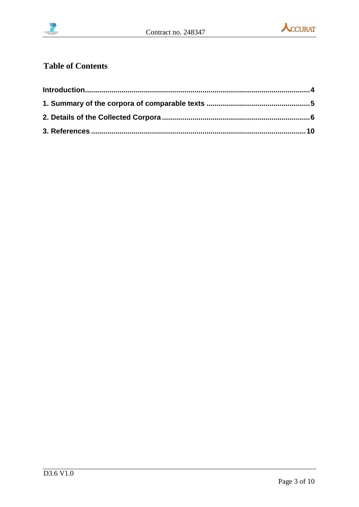



# **Table of Contents**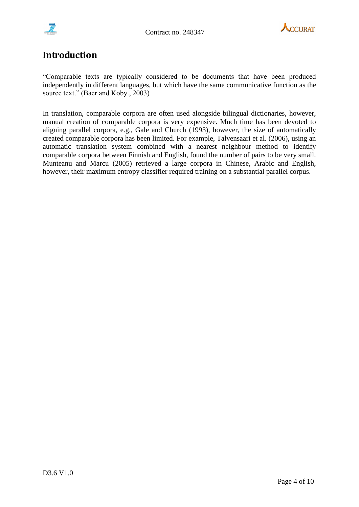



## **Introduction**

"Comparable texts are typically considered to be documents that have been produced independently in different languages, but which have the same communicative function as the source text." (Baer and Koby., 2003)

In translation, comparable corpora are often used alongside bilingual dictionaries, however, manual creation of comparable corpora is very expensive. Much time has been devoted to aligning parallel corpora, e.g., Gale and Church (1993), however, the size of automatically created comparable corpora has been limited. For example, Talvensaari et al. (2006), using an automatic translation system combined with a nearest neighbour method to identify comparable corpora between Finnish and English, found the number of pairs to be very small. Munteanu and Marcu (2005) retrieved a large corpora in Chinese, Arabic and English, however, their maximum entropy classifier required training on a substantial parallel corpus.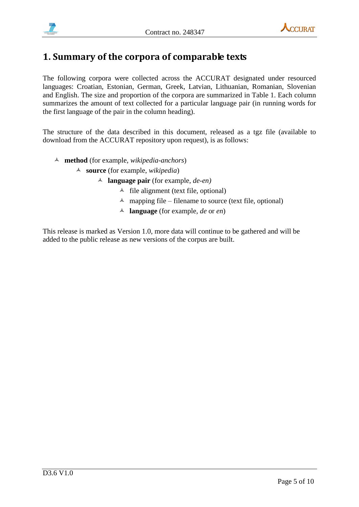



### **1. Summary of the corpora of comparable texts**

The following corpora were collected across the ACCURAT designated under resourced languages: Croatian, Estonian, German, Greek, Latvian, Lithuanian, Romanian, Slovenian and English. The size and proportion of the corpora are summarized in Table 1. Each column summarizes the amount of text collected for a particular language pair (in running words for the first language of the pair in the column heading).

The structure of the data described in this document, released as a tgz file (available to download from the ACCURAT repository upon request), is as follows:

- **method** (for example, *wikipedia-anchors*)
	- **source** (for example, *wikipedia*)
		- **language pair** (for example, *de-en)*
			- $\triangle$  file alignment (text file, optional)
			- $\triangle$  mapping file filename to source (text file, optional)
			- **language** (for example, *de* or *en*)

This release is marked as Version 1.0, more data will continue to be gathered and will be added to the public release as new versions of the corpus are built.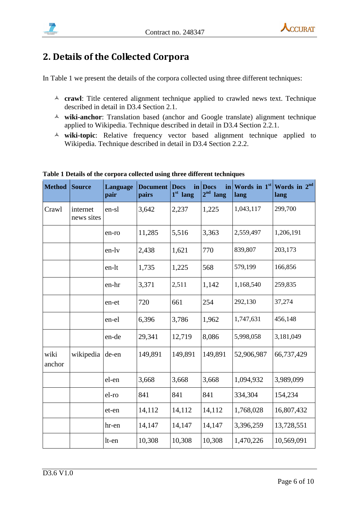

# **2. Details of the Collected Corpora**

In Table 1 we present the details of the corpora collected using three different techniques:

- **crawl**: Title centered alignment technique applied to crawled news text. Technique described in detail in D3.4 Section 2.1.
- **wiki-anchor**: Translation based (anchor and Google translate) alignment technique applied to Wikipedia. Technique described in detail in D3.4 Section 2.2.1.
- **wiki-topic**: Relative frequency vector based alignment technique applied to Wikipedia. Technique described in detail in D3.4 Section 2.2.2.

| <b>Method</b>  | <b>Source</b>          | Language<br>pair | <b>Document</b><br>pairs | <b>Docs</b><br>$1st$ lang | in<br>in Docs<br>2 <sup>nd</sup><br>lang | Words in 1st<br>lang | Words in 2 <sup>nd</sup><br>lang |
|----------------|------------------------|------------------|--------------------------|---------------------------|------------------------------------------|----------------------|----------------------------------|
| Crawl          | internet<br>news sites | en-sl            | 3,642                    | 2,237                     | 1,225                                    | 1,043,117            | 299,700                          |
|                |                        | en-ro            | 11,285                   | 5,516                     | 3,363                                    | 2,559,497            | 1,206,191                        |
|                |                        | en-lv            | 2,438                    | 1,621                     | 770                                      | 839,807              | 203,173                          |
|                |                        | en-lt            | 1,735                    | 1,225                     | 568                                      | 579,199              | 166,856                          |
|                |                        | en-hr            | 3,371                    | 2,511                     | 1,142                                    | 1,168,540            | 259,835                          |
|                |                        | en-et            | 720                      | 661                       | 254                                      | 292,130              | 37,274                           |
|                |                        | en-el            | 6,396                    | 3,786                     | 1,962                                    | 1,747,631            | 456,148                          |
|                |                        | en-de            | 29,341                   | 12,719                    | 8,086                                    | 5,998,058            | 3,181,049                        |
| wiki<br>anchor | wikipedia              | de-en            | 149,891                  | 149,891                   | 149,891                                  | 52,906,987           | 66,737,429                       |
|                |                        | el-en            | 3,668                    | 3,668                     | 3,668                                    | 1,094,932            | 3,989,099                        |
|                |                        | el-ro            | 841                      | 841                       | 841                                      | 334,304              | 154,234                          |
|                |                        | et-en            | 14,112                   | 14,112                    | 14,112                                   | 1,768,028            | 16,807,432                       |
|                |                        | hr-en            | 14,147                   | 14,147                    | 14,147                                   | 3,396,259            | 13,728,551                       |
|                |                        | lt-en            | 10,308                   | 10,308                    | 10,308                                   | 1,470,226            | 10,569,091                       |

**Table 1 Details of the corpora collected using three different techniques**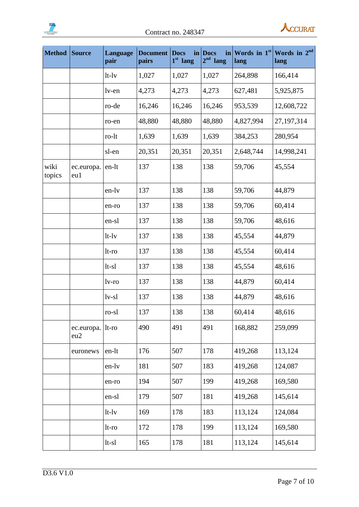



| <b>Method</b>  | Source            | Language<br>pair | <b>Document</b><br>pairs | <b>Docs</b><br>in<br>$1st$ lang | in<br><b>Docs</b><br>$2nd$ lang | lang      | Words in $1st$ Words in $2nd$<br>lang |
|----------------|-------------------|------------------|--------------------------|---------------------------------|---------------------------------|-----------|---------------------------------------|
|                |                   | $lt-1v$          | 1,027                    | 1,027                           | 1,027                           | 264,898   | 166,414                               |
|                |                   | lv-en            | 4,273                    | 4,273                           | 4,273                           | 627,481   | 5,925,875                             |
|                |                   | ro-de            | 16,246                   | 16,246                          | 16,246                          | 953,539   | 12,608,722                            |
|                |                   | ro-en            | 48,880                   | 48,880                          | 48,880                          | 4,827,994 | 27,197,314                            |
|                |                   | ro-lt            | 1,639                    | 1,639                           | 1,639                           | 384,253   | 280,954                               |
|                |                   | sl-en            | 20,351                   | 20,351                          | 20,351                          | 2,648,744 | 14,998,241                            |
| wiki<br>topics | ec.europa.<br>eu1 | en-lt            | 137                      | 138                             | 138                             | 59,706    | 45,554                                |
|                |                   | en-ly            | 137                      | 138                             | 138                             | 59,706    | 44,879                                |
|                |                   | en-ro            | 137                      | 138                             | 138                             | 59,706    | 60,414                                |
|                |                   | en-sl            | 137                      | 138                             | 138                             | 59,706    | 48,616                                |
|                |                   | $lt-1v$          | 137                      | 138                             | 138                             | 45,554    | 44,879                                |
|                |                   | lt-ro            | 137                      | 138                             | 138                             | 45,554    | 60,414                                |
|                |                   | $lt-s1$          | 137                      | 138                             | 138                             | 45,554    | 48,616                                |
|                |                   | $1v$ -ro         | 137                      | 138                             | 138                             | 44,879    | 60,414                                |
|                |                   | $1v-s1$          | 137                      | 138                             | 138                             | 44,879    | 48,616                                |
|                |                   | ro-sl            | 137                      | 138                             | 138                             | 60,414    | 48,616                                |
|                | ec.europa.<br>eu2 | $lt$ -ro         | 490                      | 491                             | 491                             | 168,882   | 259,099                               |
|                | euronews          | en-lt            | 176                      | 507                             | 178                             | 419,268   | 113,124                               |
|                |                   | en-ly            | 181                      | 507                             | 183                             | 419,268   | 124,087                               |
|                |                   | en-ro            | 194                      | 507                             | 199                             | 419,268   | 169,580                               |
|                |                   | en-sl            | 179                      | 507                             | 181                             | 419,268   | 145,614                               |
|                |                   | $lt-1v$          | 169                      | 178                             | 183                             | 113,124   | 124,084                               |
|                |                   | lt-ro            | 172                      | 178                             | 199                             | 113,124   | 169,580                               |
|                |                   | $lt-sl$          | 165                      | 178                             | 181                             | 113,124   | 145,614                               |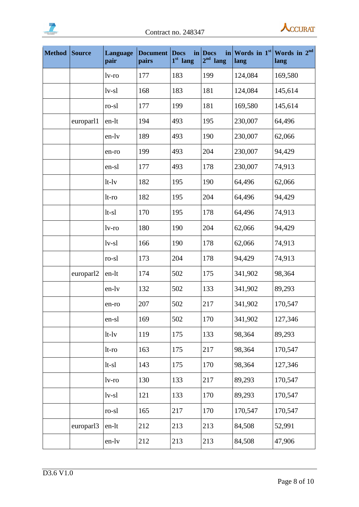



| <b>Method</b> | Source    | Language<br>pair | <b>Document</b><br>pairs | <b>Docs</b><br>in<br>$1st$ lang | in<br><b>Docs</b><br>2 <sup>nd</sup><br>lang | lang    | Words in $1st$ Words in $2nd$<br>lang |
|---------------|-----------|------------------|--------------------------|---------------------------------|----------------------------------------------|---------|---------------------------------------|
|               |           | $1v$ -ro         | 177                      | 183                             | 199                                          | 124,084 | 169,580                               |
|               |           | $1v-s1$          | 168                      | 183                             | 181                                          | 124,084 | 145,614                               |
|               |           | ro-sl            | 177                      | 199                             | 181                                          | 169,580 | 145,614                               |
|               | europarl1 | en-lt            | 194                      | 493                             | 195                                          | 230,007 | 64,496                                |
|               |           | en-lv            | 189                      | 493                             | 190                                          | 230,007 | 62,066                                |
|               |           | en-ro            | 199                      | 493                             | 204                                          | 230,007 | 94,429                                |
|               |           | en-sl            | 177                      | 493                             | 178                                          | 230,007 | 74,913                                |
|               |           | $lt-1v$          | 182                      | 195                             | 190                                          | 64,496  | 62,066                                |
|               |           | $lt$ -ro         | 182                      | 195                             | 204                                          | 64,496  | 94,429                                |
|               |           | $lt-s1$          | 170                      | 195                             | 178                                          | 64,496  | 74,913                                |
|               |           | $1v$ -ro         | 180                      | 190                             | 204                                          | 62,066  | 94,429                                |
|               |           | $1v-s1$          | 166                      | 190                             | 178                                          | 62,066  | 74,913                                |
|               |           | ro-sl            | 173                      | 204                             | 178                                          | 94,429  | 74,913                                |
|               | europarl2 | en-lt            | 174                      | 502                             | 175                                          | 341,902 | 98,364                                |
|               |           | en-lv            | 132                      | 502                             | 133                                          | 341,902 | 89,293                                |
|               |           | en-ro            | 207                      | 502                             | 217                                          | 341,902 | 170,547                               |
|               |           | en-sl            | 169                      | 502                             | 170                                          | 341,902 | 127,346                               |
|               |           | $lt-1v$          | 119                      | 175                             | 133                                          | 98,364  | 89,293                                |
|               |           | lt-ro            | 163                      | 175                             | 217                                          | 98,364  | 170,547                               |
|               |           | $lt-s1$          | 143                      | 175                             | 170                                          | 98,364  | 127,346                               |
|               |           | lv-ro            | 130                      | 133                             | 217                                          | 89,293  | 170,547                               |
|               |           | $1v-s1$          | 121                      | 133                             | 170                                          | 89,293  | 170,547                               |
|               |           | ro-sl            | 165                      | 217                             | 170                                          | 170,547 | 170,547                               |
|               | europarl3 | en-lt            | 212                      | 213                             | 213                                          | 84,508  | 52,991                                |
|               |           | en-lv            | 212                      | 213                             | 213                                          | 84,508  | 47,906                                |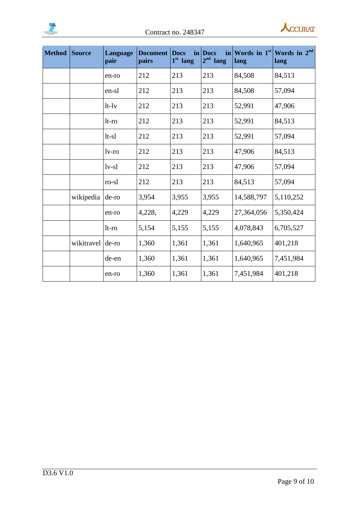



| <b>Method</b> | <b>Source</b> | Language<br>pair | <b>Document</b><br>pairs | <b>Docs</b><br>in<br>1 <sup>st</sup> lang | <b>Docs</b><br>in<br>$2nd$ lang | Words in $1st$<br>lang | Words in 2 <sup>nd</sup><br>lang |
|---------------|---------------|------------------|--------------------------|-------------------------------------------|---------------------------------|------------------------|----------------------------------|
|               |               | en-ro            | 212                      | 213                                       | 213                             | 84,508                 | 84,513                           |
|               |               | en-sl            | 212                      | 213                                       | 213                             | 84,508                 | 57,094                           |
|               |               | $lt-1v$          | 212                      | 213                                       | 213                             | 52,991                 | 47,906                           |
|               |               | $lt$ -ro         | 212                      | 213                                       | 213                             | 52,991                 | 84,513                           |
|               |               | $lt-s1$          | 212                      | 213                                       | 213                             | 52,991                 | 57,094                           |
|               |               | lv-ro            | 212                      | 213                                       | 213                             | 47,906                 | 84,513                           |
|               |               | $1v-s1$          | 212                      | 213                                       | 213                             | 47,906                 | 57,094                           |
|               |               | ro-sl            | 212                      | 213                                       | 213                             | 84,513                 | 57,094                           |
|               | wikipedia     | de-ro            | 3,954                    | 3,955                                     | 3,955                           | 14,588,797             | 5,110,252                        |
|               |               | en-ro            | 4,228,                   | 4,229                                     | 4,229                           | 27,364,056             | 5,350,424                        |
|               |               | $lt$ -ro         | 5,154                    | 5,155                                     | 5,155                           | 4,078,843              | 6,705,527                        |
|               | wikitravel    | de-ro            | 1,360                    | 1,361                                     | 1,361                           | 1,640,965              | 401,218                          |
|               |               | de-en            | 1,360                    | 1,361                                     | 1,361                           | 1,640,965              | 7,451,984                        |
|               |               | en-ro            | 1,360                    | 1,361                                     | 1,361                           | 7,451,984              | 401,218                          |